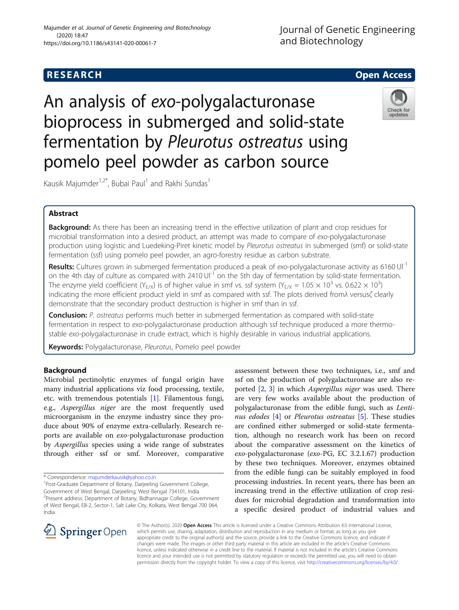# **RESEARCH CHILD CONTROL** CONTROL CONTROL CONTROL CONTROL CONTROL CONTROL CONTROL CONTROL CONTROL CONTROL CONTROL

An analysis of exo-polygalacturonase bioprocess in submerged and solid-state fermentation by Pleurotus ostreatus using pomelo peel powder as carbon source



Kausik Majumder<sup>1,2\*</sup>, Bubai Paul<sup>1</sup> and Rakhi Sundas<sup>1</sup>

## Abstract

Background: As there has been an increasing trend in the effective utilization of plant and crop residues for microbial transformation into a desired product, an attempt was made to compare of exo-polygalacturonase production using logistic and Luedeking-Piret kinetic model by Pleurotus ostreatus in submerged (smf) or solid-state fermentation (ssf) using pomelo peel powder, an agro-forestry residue as carbon substrate.

Results: Cultures grown in submerged fermentation produced a peak of exo-polygalacturonase activity as 6160 Ul<sup>-1</sup> on the 4th day of culture as compared with 2410  $UI<sup>-1</sup>$  on the 5th day of fermentation by solid-state fermentation. The enzyme yield coefficient (Y<sub>E/X</sub>) is of higher value in smf vs. ssf system (Y<sub>E/X</sub> = 1.05  $\times$  10<sup>3</sup> vs. 0.622  $\times$  10<sup>3</sup>) indicating the more efficient product yield in smf as compared with ssf. The plots derived fromλ versusζ clearly demonstrate that the secondary product destruction is higher in smf than in ssf.

Conclusion: P. ostreatus performs much better in submerged fermentation as compared with solid-state fermentation in respect to exo-polygalacturonase production although ssf technique produced a more thermostable exo-polygalacturonase in crude extract, which is highly desirable in various industrial applications.

Keywords: Polygalacturonase, Pleurotus, Pomelo peel powder

## Background

Microbial pectinolytic enzymes of fungal origin have many industrial applications viz food processing, textile, etc. with tremendous potentials [\[1](#page-7-0)]. Filamentous fungi, e.g., Aspergillus niger are the most frequently used microorganism in the enzyme industry since they produce about 90% of enzyme extra-cellularly. Research reports are available on exo-polygalacturonase production by Aspergillus species using a wide range of substrates through either ssf or smf. Moreover, comparative

\* Correspondence: [majumderkausik@yahoo.co.in](mailto:majumderkausik@yahoo.co.in) <sup>1</sup>

<sup>1</sup>Post-Graduate Department of Botany, Darjeeling Government College, Government of West Bengal, Darjeeling, West Bengal 734101, India <sup>2</sup> Present address: Department of Botany, Bidhannagar College, Government of West Bengal, EB-2, Sector-1, Salt Lake City, Kolkata, West Bengal 700 064, India

assessment between these two techniques, i.e., smf and ssf on the production of polygalacturonase are also reported [\[2](#page-7-0), [3\]](#page-7-0) in which Aspergillus niger was used. There are very few works available about the production of polygalacturonase from the edible fungi, such as Lenti-nus edodes [\[4\]](#page-7-0) or Pleurotus ostreatus [[5\]](#page-7-0). These studies are confined either submerged or solid-state fermentation, although no research work has been on record about the comparative assessment on the kinetics of exo-polygalacturonase (exo-PG, EC 3.2.1.67) production by these two techniques. Moreover, enzymes obtained from the edible fungi can be suitably employed in food processing industries. In recent years, there has been an increasing trend in the effective utilization of crop residues for microbial degradation and transformation into a specific desired product of industrial values and



© The Author(s). 2020 Open Access This article is licensed under a Creative Commons Attribution 4.0 International License, which permits use, sharing, adaptation, distribution and reproduction in any medium or format, as long as you give appropriate credit to the original author(s) and the source, provide a link to the Creative Commons licence, and indicate if changes were made. The images or other third party material in this article are included in the article's Creative Commons licence, unless indicated otherwise in a credit line to the material. If material is not included in the article's Creative Commons licence and your intended use is not permitted by statutory regulation or exceeds the permitted use, you will need to obtain permission directly from the copyright holder. To view a copy of this licence, visit <http://creativecommons.org/licenses/by/4.0/>.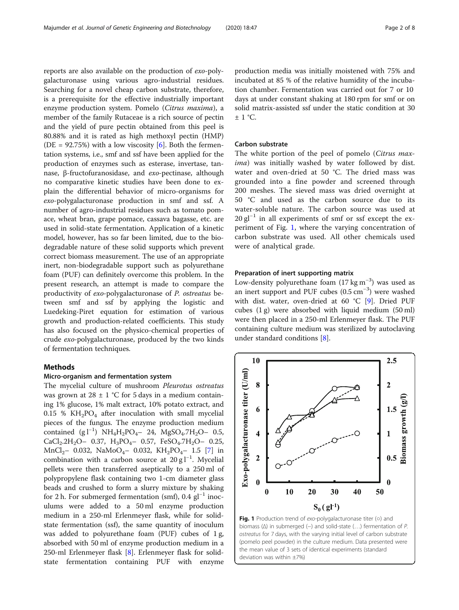<span id="page-1-0"></span>reports are also available on the production of exo-polygalacturonase using various agro-industrial residues. Searching for a novel cheap carbon substrate, therefore, is a prerequisite for the effective industrially important enzyme production system. Pomelo (Citrus maxima), a member of the family Rutaceae is a rich source of pectin and the yield of pure pectin obtained from this peel is 80.88% and it is rated as high methoxyl pectin (HMP) (DE =  $92.75\%$ ) with a low viscosity [\[6](#page-7-0)]. Both the fermentation systems, i.e., smf and ssf have been applied for the production of enzymes such as esterase, invertase, tannase, β-fructofuranosidase, and exo-pectinase, although no comparative kinetic studies have been done to explain the differential behavior of micro-organisms for exo-polygalacturonase production in smf and ssf. A number of agro-industrial residues such as tomato pomace, wheat bran, grape pomace, cassava bagasse, etc. are used in solid-state fermentation. Application of a kinetic model, however, has so far been limited, due to the biodegradable nature of these solid supports which prevent correct biomass measurement. The use of an appropriate inert, non-biodegradable support such as polyurethane foam (PUF) can definitely overcome this problem. In the present research, an attempt is made to compare the productivity of exo-polygalacturonase of P. ostreatus between smf and ssf by applying the logistic and Luedeking-Piret equation for estimation of various growth and production-related coefficients. This study has also focused on the physico-chemical properties of crude exo-polygalacturonase, produced by the two kinds of fermentation techniques.

## Methods

#### Micro-organism and fermentation system

The mycelial culture of mushroom Pleurotus ostreatus was grown at 28  $\pm$  1 °C for 5 days in a medium containing 1% glucose, 1% malt extract, 10% potato extract, and 0.15 %  $KH_2PO_4$  after inoculation with small mycelial pieces of the fungus. The enzyme production medium contained  $(g 1^{-1})$  NH<sub>4</sub>H<sub>2</sub>PO<sub>4</sub>- 24, MgSO<sub>4</sub>.7H<sub>2</sub>O- 0.5,  $CaCl<sub>2</sub>.2H<sub>2</sub>O- 0.37, H<sub>3</sub>PO<sub>4</sub> - 0.57, FeSO<sub>4</sub>.7H<sub>2</sub>O- 0.25,$  $MnCl<sub>2</sub>$ – 0.032, NaMoO<sub>4</sub>– 0.032, KH<sub>2</sub>PO<sub>4</sub>– 1.5 [\[7](#page-7-0)] in combination with a carbon source at  $20 \text{ g} l^{-1}$ . Mycelial pellets were then transferred aseptically to a 250 ml of polypropylene flask containing two 1-cm diameter glass beads and crushed to form a slurry mixture by shaking for 2 h. For submerged fermentation (smf), 0.4  $gl^{-1}$  inoculums were added to a 50 ml enzyme production medium in a 250-ml Erlenmeyer flask, while for solidstate fermentation (ssf), the same quantity of inoculum was added to polyurethane foam (PUF) cubes of 1 g, absorbed with 50 ml of enzyme production medium in a 250-ml Erlenmeyer flask [\[8](#page-7-0)]. Erlenmeyer flask for solidstate fermentation containing PUF with enzyme production media was initially moistened with 75% and incubated at 85 % of the relative humidity of the incubation chamber. Fermentation was carried out for 7 or 10 days at under constant shaking at 180 rpm for smf or on solid matrix-assisted ssf under the static condition at 30  $\pm$  1 °C.

#### Carbon substrate

The white portion of the peel of pomelo (Citrus maxima) was initially washed by water followed by dist. water and oven-dried at 50 °C. The dried mass was grounded into a fine powder and screened through 200 meshes. The sieved mass was dried overnight at 50 °C and used as the carbon source due to its water-soluble nature. The carbon source was used at  $20 \text{ g}^{-1}$  in all experiments of smf or ssf except the experiment of Fig. 1, where the varying concentration of carbon substrate was used. All other chemicals used were of analytical grade.

#### Preparation of inert supporting matrix

Low-density polyurethane foam  $(17 \text{ kg m}^{-3})$  was used as an inert support and PUF cubes (0.5 cm−<sup>3</sup> ) were washed with dist. water, oven-dried at 60 °C [[9](#page-7-0)]. Dried PUF cubes (1 g) were absorbed with liquid medium (50 ml) were then placed in a 250-ml Erlenmeyer flask. The PUF containing culture medium was sterilized by autoclaving under standard conditions [[8\]](#page-7-0).



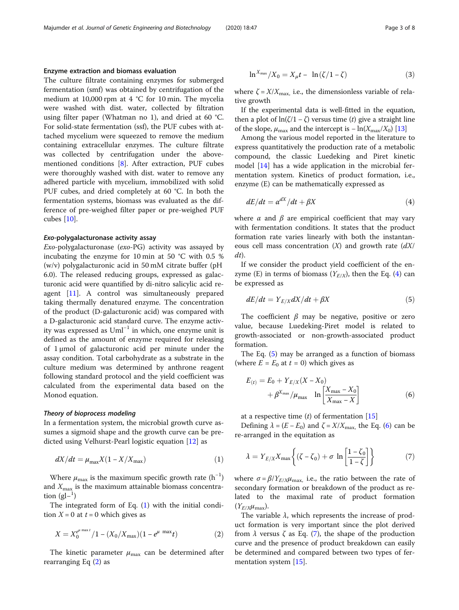#### <span id="page-2-0"></span>Enzyme extraction and biomass evaluation

The culture filtrate containing enzymes for submerged fermentation (smf) was obtained by centrifugation of the medium at 10,000 rpm at 4 °C for 10 min. The mycelia were washed with dist. water, collected by filtration using filter paper (Whatman no 1), and dried at 60 °C. For solid-state fermentation (ssf), the PUF cubes with attached mycelium were squeezed to remove the medium containing extracellular enzymes. The culture filtrate was collected by centrifugation under the abovementioned conditions [\[8\]](#page-7-0). After extraction, PUF cubes were thoroughly washed with dist. water to remove any adhered particle with mycelium, immobilized with solid PUF cubes, and dried completely at 60 °C. In both the fermentation systems, biomass was evaluated as the difference of pre-weighed filter paper or pre-weighed PUF cubes [[10\]](#page-7-0).

#### Exo-polygalacturonase activity assay

Exo-polygalacturonase (exo-PG) activity was assayed by incubating the enzyme for 10 min at 50 °C with 0.5 % (w/v) polygalacturonic acid in 50 mM citrate buffer (pH 6.0). The released reducing groups, expressed as galacturonic acid were quantified by di-nitro salicylic acid reagent [\[11](#page-7-0)]. A control was simultaneously prepared taking thermally denatured enzyme. The concentration of the product (D-galacturonic acid) was compared with a D-galacturonic acid standard curve. The enzyme activity was expressed as  $Uml^{-1}$  in which, one enzyme unit is defined as the amount of enzyme required for releasing of 1 μmol of galacturonic acid per minute under the assay condition. Total carbohydrate as a substrate in the culture medium was determined by anthrone reagent following standard protocol and the yield coefficient was calculated from the experimental data based on the Monod equation.

#### Theory of bioprocess modeling

In a fermentation system, the microbial growth curve assumes a sigmoid shape and the growth curve can be predicted using Velhurst-Pearl logistic equation [[12\]](#page-7-0) as

$$
dX/dt = \mu_{\text{max}} X(1 - X/X_{\text{max}})
$$
 (1)

Where  $\mu_{\text{max}}$  is the maximum specific growth rate  $(h^{-1})$ and  $X_{\text{max}}$  is the maximum attainable biomass concentration  $(gl-1)$ 

The integrated form of Eq.  $(1)$  with the initial condition  $X = 0$  at  $t = 0$  which gives as

$$
X = X_0^{e^{\mu \max t}} / 1 - (X_0 / X_{\max})(1 - e^{\mu \max t})
$$
 (2)

The kinetic parameter  $\mu_{\text{max}}$  can be determined after rearranging Eq (2) as

$$
\ln^{X_{\text{max}}}/X_0 = X_\mu t - \ln(\zeta/1 - \zeta) \tag{3}
$$

where  $\zeta = X/X_{\text{max}}$ , i.e., the dimensionless variable of relative growth

If the experimental data is well-fitted in the equation, then a plot of  $ln(\zeta/1 - \zeta)$  versus time (t) give a straight line of the slope,  $\mu_{\text{max}}$  and the intercept is  $-\ln(X_{\text{max}}/X_0)$  [[13](#page-7-0)]

Among the various model reported in the literature to express quantitatively the production rate of a metabolic compound, the classic Luedeking and Piret kinetic model [\[14](#page-7-0)] has a wide application in the microbial fermentation system. Kinetics of product formation, i.e., enzyme (E) can be mathematically expressed as

$$
dE/dt = \alpha^{dX}/dt + \beta X \tag{4}
$$

where  $\alpha$  and  $\beta$  are empirical coefficient that may vary with fermentation conditions. It states that the product formation rate varies linearly with both the instantaneous cell mass concentration  $(X)$  and growth rate  $\left(\frac{dX}{dx}\right)$ dt).

If we consider the product yield coefficient of the enzyme (E) in terms of biomass  $(Y_{E/X})$ , then the Eq. (4) can be expressed as

$$
dE/dt = Y_{E/X}dX/dt + \beta X\tag{5}
$$

The coefficient  $\beta$  may be negative, positive or zero value, because Luedeking-Piret model is related to growth-associated or non-growth-associated product formation.

The Eq. (5) may be arranged as a function of biomass (where  $E = E_0$  at  $t = 0$ ) which gives as

$$
E_{(t)} = E_0 + Y_{E/X}(X - X_0)
$$
  
+  $\beta^{X_{\text{max}}}/\mu_{\text{max}}$  ln  $\left[\frac{X_{\text{max}} - X_0}{X_{\text{max}} - X}\right]$  (6)

at a respective time  $(t)$  of fermentation [\[15](#page-7-0)]

Defining  $\lambda = (E - E_0)$  and  $\zeta = X/X_{\text{max}}$ , the Eq. (6) can be re-arranged in the equitation as

$$
\lambda = Y_{E/X} X_{\text{max}} \left\{ (\zeta - \zeta_0) + \sigma \ln \left[ \frac{1 - \zeta_0}{1 - \zeta} \right] \right\} \tag{7}
$$

where  $\sigma = \beta / Y_{E/X} \mu_{\text{max}}$ , i.e., the ratio between the rate of secondary formation or breakdown of the product as related to the maximal rate of product formation  $(Y_{E/X}\mu_{\text{max}}).$ 

The variable  $\lambda$ , which represents the increase of product formation is very important since the plot derived from  $\lambda$  versus  $\zeta$  as Eq. (7), the shape of the production curve and the presence of product breakdown can easily be determined and compared between two types of fermentation system [\[15](#page-7-0)].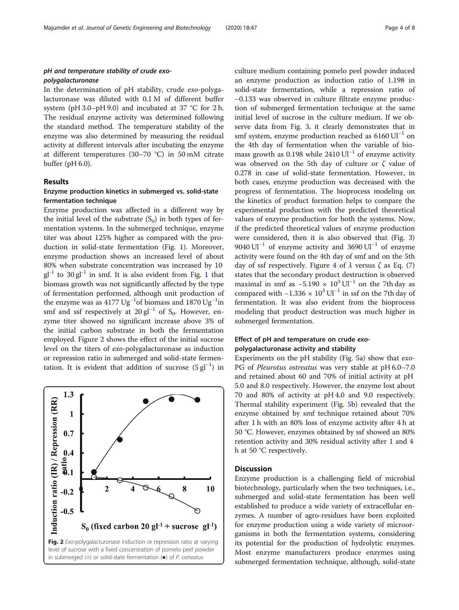## <span id="page-3-0"></span>pH and temperature stability of crude exopolygalacturonase

In the determination of pH stability, crude exo-polygalacturonase was diluted with 0.1 M of different buffer system (pH 3.0–pH 9.0) and incubated at 37 °C for 2 h. The residual enzyme activity was determined following the standard method. The temperature stability of the enzyme was also determined by measuring the residual activity at different intervals after incubating the enzyme at different temperatures (30–70 °C) in 50 mM citrate buffer (pH 6.0).

#### Results

## Enzyme production kinetics in submerged vs. solid-state fermentation technique

Enzyme production was affected in a different way by the initial level of the substrate  $(S_0)$  in both types of fermentation systems. In the submerged technique, enzyme titer was about 125% higher as compared with the production in solid-state fermentation (Fig. [1](#page-1-0)). Moreover, enzyme production shows an increased level of about 80% when substrate concentration was increased by 10  $gl^{-1}$  $gl^{-1}$  $gl^{-1}$  to 30 gl<sup>-1</sup> in smf. It is also evident from Fig. 1 that biomass growth was not significantly affected by the type of fermentation performed, although unit production of the enzyme was as  $4177 \text{ Ug}^{-1}$ of biomass and 1870 Ug<sup>-1</sup>in smf and ssf respectively at 20 gl<sup>-1</sup> of S<sub>0</sub>. However, enzyme titer showed no significant increase above 3% of the initial carbon substrate in both the fermentation employed. Figure 2 shows the effect of the initial sucrose level on the titers of exo-polygalacturonase as induction or repression ratio in submerged and solid-state fermentation. It is evident that addition of sucrose  $(5 \text{ gl}^{-1})$  in



culture medium containing pomelo peel powder induced an enzyme production as induction ratio of 1.198 in solid-state fermentation, while a repression ratio of −0.133 was observed in culture filtrate enzyme production of submerged fermentation technique at the same initial level of sucrose in the culture medium. If we observe data from Fig. [3](#page-4-0), it clearly demonstrates that in smf system, enzyme production reached as  $6160 \text{ Ul}^{-1}$  on the 4th day of fermentation when the variable of biomass growth as 0.198 while 2410 Ul<sup>-1</sup> of enzyme activity was observed on the 5th day of culture or  $\zeta$  value of 0.278 in case of solid-state fermentation. However, in both cases, enzyme production was decreased with the progress of fermentation. The bioprocess modeling on the kinetics of product formation helps to compare the experimental production with the predicted theoretical values of enzyme production for both the systems. Now, if the predicted theoretical values of enzyme production were considered, then it is also observed that (Fig. [3](#page-4-0)) 9040 Ul<sup>-1</sup> of enzyme activity and 3690 Ul<sup>-1</sup> of enzyme activity were found on the 4th day of smf and on the 5th day of ssf respectively. Figure [4](#page-4-0) of  $\lambda$  versus  $\zeta$  as Eq. [\(7](#page-2-0)) states that the secondary product destruction is observed maximal in smf as  $-5.190 \times 10^3$  Ul<sup>-1</sup> on the 7th day as compared with  $-1.336 \times 10^3$  Ul<sup>-1</sup> in ssf on the 7th day of fermentation. It was also evident from the bioprocess modeling that product destruction was much higher in submerged fermentation.

## Effect of pH and temperature on crude exopolygalacturonase activity and stability

Experiments on the pH stability (Fig. [5a](#page-5-0)) show that exo-PG of Pleurotus ostreatus was very stable at pH 6.0–7.0 and retained about 60 and 70% of initial activity at pH 5.0 and 8.0 respectively. However, the enzyme lost about 70 and 80% of activity at pH 4.0 and 9.0 respectively. Thermal stability experiment (Fig. [5](#page-5-0)b) revealed that the enzyme obtained by smf technique retained about 70% after 1 h with an 80% loss of enzyme activity after 4 h at 50 °C. However, enzymes obtained by ssf showed an 80% retention activity and 30% residual activity after 1 and 4 h at 50 °C respectively.

#### **Discussion**

Enzyme production is a challenging field of microbial biotechnology, particularly when the two techniques, i.e., submerged and solid-state fermentation has been well established to produce a wide variety of extracellular enzymes. A number of agro-residues have been exploited for enzyme production using a wide variety of microorganisms in both the fermentation systems, considering its potential for the production of hydrolytic enzymes. Most enzyme manufacturers produce enzymes using submerged fermentation technique, although, solid-state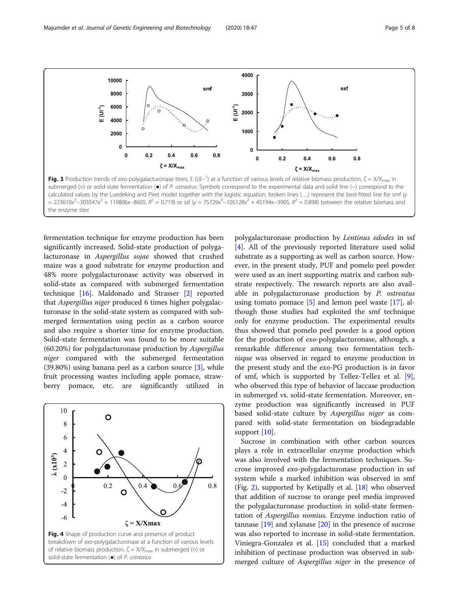<span id="page-4-0"></span>

calculated values by the Luedeking and Piret model together with the logistic equation, broken lines (…) represent the best-fitted line for smf (y = 223610x<sup>3</sup>-303547x<sup>2</sup> + 119806x-8605,  $R^2$  = 0.719) or ssf (y = 75729x<sup>3</sup>-105128x<sup>2</sup> + 45194x-3905,  $R^2$  = 0.898) between the relative biomass and the enzyme titer

fermentation technique for enzyme production has been significantly increased. Solid-state production of polygalacturonase in Aspergillus sojae showed that crushed maize was a good substrate for enzyme production and 48% more polygalacturonase activity was observed in solid-state as compared with submerged fermentation technique [[16\]](#page-7-0). Maldonado and Strasser [[2\]](#page-7-0) reported that Aspergillus niger produced 6 times higher polygalacturonase in the solid-state system as compared with submerged fermentation using pectin as a carbon source and also require a shorter time for enzyme production. Solid-state fermentation was found to be more suitable (60.20%) for polygalacturonase production by Aspergillus niger compared with the submerged fermentation  $(39.80%)$  using banana peel as a carbon source  $[3]$  $[3]$ , while fruit processing wastes including apple pomace, strawberry pomace, etc. are significantly utilized in



polygalacturonase production by Lentinus edodes in ssf [[4\]](#page-7-0). All of the previously reported literature used solid substrate as a supporting as well as carbon source. However, in the present study, PUF and pomelo peel powder were used as an inert supporting matrix and carbon substrate respectively. The research reports are also available in polygalacturonase production by P. ostreatus using tomato pomace  $[5]$  $[5]$  and lemon peel waste  $[17]$  $[17]$ , although those studies had exploited the smf technique only for enzyme production. The experimental results thus showed that pomelo peel powder is a good option for the production of exo-polygalacturonase, although, a remarkable difference among two fermentation technique was observed in regard to enzyme production in the present study and the exo-PG production is in favor of smf, which is supported by Tellez-Tellez et al. [\[9](#page-7-0)], who observed this type of behavior of laccase production in submerged vs. solid-state fermentation. Moreover, enzyme production was significantly increased in PUF based solid-state culture by Aspergillus niger as compared with solid-state fermentation on biodegradable support [\[10](#page-7-0)].

Sucrose in combination with other carbon sources plays a role in extracellular enzyme production which was also involved with the fermentation techniques. Sucrose improved exo-polygalacturonase production in ssf system while a marked inhibition was observed in smf (Fig. [2](#page-3-0)), supported by Ketipally et al. [[18\]](#page-7-0) who observed that addition of sucrose to orange peel media improved the polygalacturonase production in solid-state fermentation of Aspergillus nomius. Enzyme induction ratio of tannase [[19\]](#page-7-0) and xylanase [[20\]](#page-7-0) in the presence of sucrose was also reported to increase in solid-state fermentation. Viniegra-Gonzalez et al. [\[15\]](#page-7-0) concluded that a marked inhibition of pectinase production was observed in submerged culture of *Aspergillus niger* in the presence of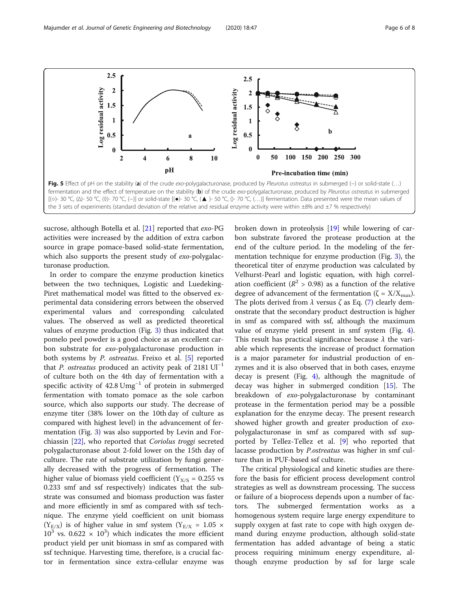<span id="page-5-0"></span>

sucrose, although Botella et al. [[21\]](#page-7-0) reported that exo-PG activities were increased by the addition of extra carbon source in grape pomace-based solid-state fermentation, which also supports the present study of exo-polygalacturonase production.

In order to compare the enzyme production kinetics between the two techniques, Logistic and Luedeking-Piret mathematical model was fitted to the observed experimental data considering errors between the observed experimental values and corresponding calculated values. The observed as well as predicted theoretical values of enzyme production (Fig. [3\)](#page-4-0) thus indicated that pomelo peel powder is a good choice as an excellent carbon substrate for exo-polygalacturonase production in both systems by P. ostreatus. Freixo et al. [\[5](#page-7-0)] reported that P. ostreatus produced an activity peak of 2181  $UI^{-1}$ of culture both on the 4th day of fermentation with a specific activity of 42.8 Umg<sup>-1</sup> of protein in submerged fermentation with tomato pomace as the sole carbon source, which also supports our study. The decrease of enzyme titer (38% lower on the 10th day of culture as compared with highest level) in the advancement of fermentation (Fig. [3\)](#page-4-0) was also supported by Levin and Forchiassin [[22\]](#page-7-0), who reported that Coriolus troggi secreted polygalacturonase about 2-fold lower on the 15th day of culture. The rate of substrate utilization by fungi generally decreased with the progress of fermentation. The higher value of biomass yield coefficient ( $Y_{X/S} = 0.255$  vs 0.233 smf and ssf respectively) indicates that the substrate was consumed and biomass production was faster and more efficiently in smf as compared with ssf technique. The enzyme yield coefficient on unit biomass  $(Y_{E/X})$  is of higher value in smf system  $(Y_{E/X} = 1.05 \times$  $10^3$  vs. 0.622  $\times$  10<sup>3</sup>) which indicates the more efficient product yield per unit biomass in smf as compared with ssf technique. Harvesting time, therefore, is a crucial factor in fermentation since extra-cellular enzyme was broken down in proteolysis [[19\]](#page-7-0) while lowering of carbon substrate favored the protease production at the end of the culture period. In the modeling of the fermentation technique for enzyme production (Fig. [3](#page-4-0)), the theoretical titer of enzyme production was calculated by Velhurst-Pearl and logistic equation, with high correlation coefficient ( $R^2 > 0.98$ ) as a function of the relative degree of advancement of the fermentation ( $\zeta = X/X_{\text{max}}$ ). The plots derived from  $\lambda$  versus  $\zeta$  as Eq. ([7\)](#page-2-0) clearly demonstrate that the secondary product destruction is higher in smf as compared with ssf, although the maximum value of enzyme yield present in smf system (Fig. [4](#page-4-0)). This result has practical significance because  $\lambda$  the variable which represents the increase of product formation is a major parameter for industrial production of enzymes and it is also observed that in both cases, enzyme decay is present (Fig. [4\)](#page-4-0), although the magnitude of decay was higher in submerged condition [[15\]](#page-7-0). The breakdown of exo-polygalacturonase by contaminant protease in the fermentation period may be a possible explanation for the enzyme decay. The present research showed higher growth and greater production of exopolygalacturonase in smf as compared with ssf supported by Tellez-Tellez et al. [\[9](#page-7-0)] who reported that lacasse production by P.ostreatus was higher in smf culture than in PUF-based ssf culture.

The critical physiological and kinetic studies are therefore the basis for efficient process development control strategies as well as downstream processing. The success or failure of a bioprocess depends upon a number of factors. The submerged fermentation works as a homogenous system require large energy expenditure to supply oxygen at fast rate to cope with high oxygen demand during enzyme production, although solid-state fermentation has added advantage of being a static process requiring minimum energy expenditure, although enzyme production by ssf for large scale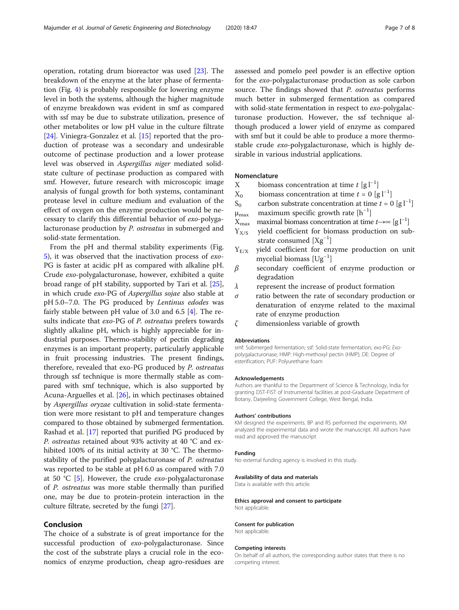operation, rotating drum bioreactor was used [\[23\]](#page-7-0). The breakdown of the enzyme at the later phase of fermentation (Fig. [4\)](#page-4-0) is probably responsible for lowering enzyme level in both the systems, although the higher magnitude of enzyme breakdown was evident in smf as compared with ssf may be due to substrate utilization, presence of other metabolites or low pH value in the culture filtrate [[24\]](#page-7-0). Viniegra-Gonzalez et al. [\[15](#page-7-0)] reported that the production of protease was a secondary and undesirable outcome of pectinase production and a lower protease level was observed in Aspergillus niger mediated solidstate culture of pectinase production as compared with smf. However, future research with microscopic image analysis of fungal growth for both systems, contaminant protease level in culture medium and evaluation of the effect of oxygen on the enzyme production would be necessary to clarify this differential behavior of exo-polygalacturonase production by P. ostreatus in submerged and solid-state fermentation.

From the pH and thermal stability experiments (Fig. [5\)](#page-5-0), it was observed that the inactivation process of exo-PG is faster at acidic pH as compared with alkaline pH. Crude exo-polygalacturonase, however, exhibited a quite broad range of pH stability, supported by Tari et al. [\[25](#page-7-0)], in which crude exo-PG of Aspergillus sojae also stable at pH 5.0–7.0. The PG produced by Lentinus edodes was fairly stable between pH value of 3.0 and 6.5 [\[4](#page-7-0)]. The results indicate that *exo-PG* of *P. ostreatus* prefers towards slightly alkaline pH, which is highly appreciable for industrial purposes. Thermo-stability of pectin degrading enzymes is an important property, particularly applicable in fruit processing industries. The present findings, therefore, revealed that exo-PG produced by P. ostreatus through ssf technique is more thermally stable as compared with smf technique, which is also supported by Acuna-Arguelles et al. [\[26\]](#page-7-0), in which pectinases obtained by Aspergillus oryzae cultivation in solid-state fermentation were more resistant to pH and temperature changes compared to those obtained by submerged fermentation. Rashad et al. [\[17\]](#page-7-0) reported that purified PG produced by P. ostreatus retained about 93% activity at 40 °C and exhibited 100% of its initial activity at 30 °C. The thermostability of the purified polygalacturonase of P. ostreatus was reported to be stable at pH 6.0 as compared with 7.0 at 50 °C [\[5](#page-7-0)]. However, the crude exo-polygalacturonase of P. ostreatus was more stable thermally than purified one, may be due to protein-protein interaction in the culture filtrate, secreted by the fungi [[27\]](#page-7-0).

### Conclusion

The choice of a substrate is of great importance for the successful production of exo-polygalacturonase. Since the cost of the substrate plays a crucial role in the economics of enzyme production, cheap agro-residues are assessed and pomelo peel powder is an effective option for the exo-polygalacturonase production as sole carbon source. The findings showed that *P. ostreatus* performs much better in submerged fermentation as compared with solid-state fermentation in respect to exo-polygalacturonase production. However, the ssf technique although produced a lower yield of enzyme as compared with smf but it could be able to produce a more thermostable crude exo-polygalacturonase, which is highly desirable in various industrial applications.

#### Nomenclature

- X biomass concentration at time  $t [g]^{-1}$
- $X_0$  biomass concentration at time  $t = 0$  [g l<sup>-1</sup>]
- S<sub>0</sub> carbon substrate concentration at time  $t = 0$  [g l<sup>-1</sup>]
- $\mu_{\text{max}}$  maximum specific growth rate  $[h^{-1}]$
- $X_{\text{max}}$  maximal biomass concentration at time  $t \rightarrow \infty$  [g l<sup>-1</sup>]
- $Y_{X/S}$  yield coefficient for biomass production on sub-.<br>strate consumed [Xg<sup>-1</sup>]
- $Y_{E/X}$  yield coefficient for enzyme production on unit mycelial biomass [Ug−<sup>1</sup> ]
- $\beta$  secondary coefficient of enzyme production or degradation
- $\lambda$  represent the increase of product formation
- $\sigma$  ratio between the rate of secondary production or denaturation of enzyme related to the maximal rate of enzyme production
- ζ dimensionless variable of growth

#### Abbreviations

smf: Submerged fermentation; ssf: Solid-state fermentation; exo-PG: Exopolygalacturonase; HMP: High-methoxyl pectin (HMP); DE: Degree of esterification; PUF: Polyurethane foam

#### Acknowledgements

Authors are thankful to the Department of Science & Technology, India for granting DST-FIST of Instrumental facilities at post-Graduate Department of Botany, Darjeeling Government College, West Bengal, India.

#### Authors' contributions

KM designed the experiments. BP and RS performed the experiments. KM analyzed the experimental data and wrote the manuscript. All authors have read and approved the manuscript

#### Funding

No external funding agency is involved in this study.

#### Availability of data and materials

Data is available with this article.

## Ethics approval and consent to participate

Not applicable.

## Consent for publication

Not applicable.

#### Competing interests

On behalf of all authors, the corresponding author states that there is no competing interest.